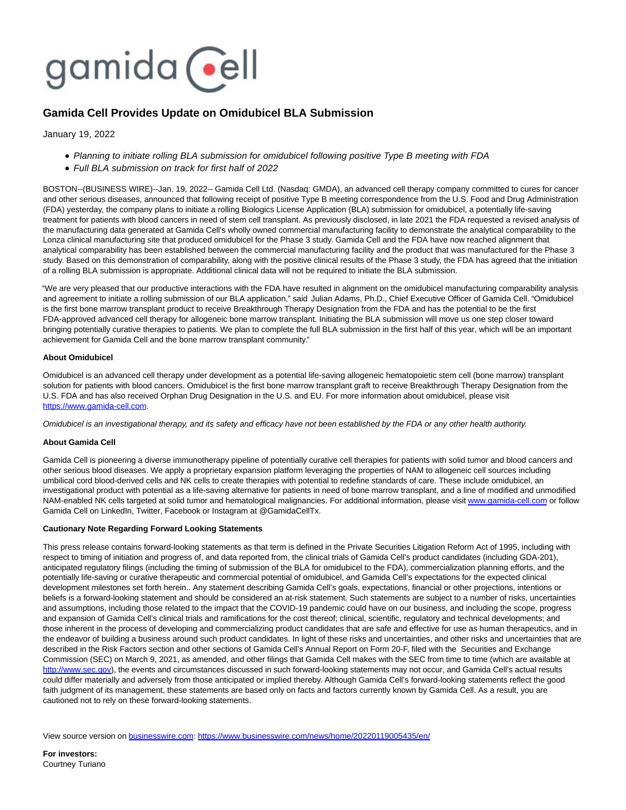

## **Gamida Cell Provides Update on Omidubicel BLA Submission**

January 19, 2022

- Planning to initiate rolling BLA submission for omidubicel following positive Type B meeting with FDA
- Full BLA submission on track for first half of 2022

BOSTON--(BUSINESS WIRE)--Jan. 19, 2022-- Gamida Cell Ltd. (Nasdaq: GMDA), an advanced cell therapy company committed to cures for cancer and other serious diseases, announced that following receipt of positive Type B meeting correspondence from the U.S. Food and Drug Administration (FDA) yesterday, the company plans to initiate a rolling Biologics License Application (BLA) submission for omidubicel, a potentially life-saving treatment for patients with blood cancers in need of stem cell transplant. As previously disclosed, in late 2021 the FDA requested a revised analysis of the manufacturing data generated at Gamida Cell's wholly owned commercial manufacturing facility to demonstrate the analytical comparability to the Lonza clinical manufacturing site that produced omidubicel for the Phase 3 study. Gamida Cell and the FDA have now reached alignment that analytical comparability has been established between the commercial manufacturing facility and the product that was manufactured for the Phase 3 study. Based on this demonstration of comparability, along with the positive clinical results of the Phase 3 study, the FDA has agreed that the initiation of a rolling BLA submission is appropriate. Additional clinical data will not be required to initiate the BLA submission.

"We are very pleased that our productive interactions with the FDA have resulted in alignment on the omidubicel manufacturing comparability analysis and agreement to initiate a rolling submission of our BLA application," said Julian Adams, Ph.D., Chief Executive Officer of Gamida Cell. "Omidubicel is the first bone marrow transplant product to receive Breakthrough Therapy Designation from the FDA and has the potential to be the first FDA-approved advanced cell therapy for allogeneic bone marrow transplant. Initiating the BLA submission will move us one step closer toward bringing potentially curative therapies to patients. We plan to complete the full BLA submission in the first half of this year, which will be an important achievement for Gamida Cell and the bone marrow transplant community."

## **About Omidubicel**

Omidubicel is an advanced cell therapy under development as a potential life-saving allogeneic hematopoietic stem cell (bone marrow) transplant solution for patients with blood cancers. Omidubicel is the first bone marrow transplant graft to receive Breakthrough Therapy Designation from the U.S. FDA and has also received Orphan Drug Designation in the U.S. and EU. For more information about omidubicel, please visit [https://www.gamida-cell.com.](https://cts.businesswire.com/ct/CT?id=smartlink&url=https%3A%2F%2Fwww.gamida-cell.com&esheet=52564962&newsitemid=20220119005435&lan=en-US&anchor=https%3A%2F%2Fwww.gamida-cell.com&index=1&md5=91e35624cf82a2fee03975686dffa9a8)

Omidubicel is an investigational therapy, and its safety and efficacy have not been established by the FDA or any other health authority.

## **About Gamida Cell**

Gamida Cell is pioneering a diverse immunotherapy pipeline of potentially curative cell therapies for patients with solid tumor and blood cancers and other serious blood diseases. We apply a proprietary expansion platform leveraging the properties of NAM to allogeneic cell sources including umbilical cord blood-derived cells and NK cells to create therapies with potential to redefine standards of care. These include omidubicel, an investigational product with potential as a life-saving alternative for patients in need of bone marrow transplant, and a line of modified and unmodified NAM-enabled NK cells targeted at solid tumor and hematological malignancies. For additional information, please visi[t www.gamida-cell.com o](https://cts.businesswire.com/ct/CT?id=smartlink&url=http%3A%2F%2Fwww.gamida-cell.com&esheet=52564962&newsitemid=20220119005435&lan=en-US&anchor=www.gamida-cell.com&index=2&md5=52e4d66ab0550bc6209c5db596cefb0e)r follow Gamida Cell on LinkedIn, Twitter, Facebook or Instagram at @GamidaCellTx.

## **Cautionary Note Regarding Forward Looking Statements**

This press release contains forward-looking statements as that term is defined in the Private Securities Litigation Reform Act of 1995, including with respect to timing of initiation and progress of, and data reported from, the clinical trials of Gamida Cell's product candidates (including GDA-201), anticipated regulatory filings (including the timing of submission of the BLA for omidubicel to the FDA), commercialization planning efforts, and the potentially life-saving or curative therapeutic and commercial potential of omidubicel, and Gamida Cell's expectations for the expected clinical development milestones set forth herein.. Any statement describing Gamida Cell's goals, expectations, financial or other projections, intentions or beliefs is a forward-looking statement and should be considered an at-risk statement. Such statements are subject to a number of risks, uncertainties and assumptions, including those related to the impact that the COVID-19 pandemic could have on our business, and including the scope, progress and expansion of Gamida Cell's clinical trials and ramifications for the cost thereof; clinical, scientific, regulatory and technical developments; and those inherent in the process of developing and commercializing product candidates that are safe and effective for use as human therapeutics, and in the endeavor of building a business around such product candidates. In light of these risks and uncertainties, and other risks and uncertainties that are described in the Risk Factors section and other sections of Gamida Cell's Annual Report on Form 20-F, filed with the Securities and Exchange Commission (SEC) on March 9, 2021, as amended, and other filings that Gamida Cell makes with the SEC from time to time (which are available at [http://www.sec.gov\),](https://cts.businesswire.com/ct/CT?id=smartlink&url=http%3A%2F%2Fwww.sec.gov&esheet=52564962&newsitemid=20220119005435&lan=en-US&anchor=http%3A%2F%2Fwww.sec.gov&index=3&md5=453c986155944c66d09a210a8ac815c9) the events and circumstances discussed in such forward-looking statements may not occur, and Gamida Cell's actual results could differ materially and adversely from those anticipated or implied thereby. Although Gamida Cell's forward-looking statements reflect the good faith judgment of its management, these statements are based only on facts and factors currently known by Gamida Cell. As a result, you are cautioned not to rely on these forward-looking statements.

View source version on [businesswire.com:](http://businesswire.com/)<https://www.businesswire.com/news/home/20220119005435/en/>

**For investors:** Courtney Turiano